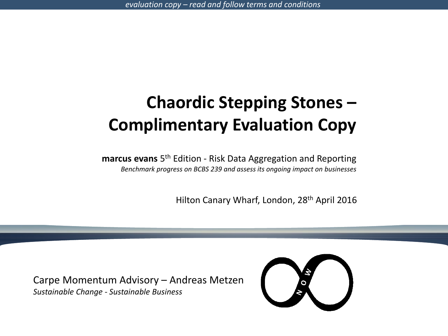# **Chaordic Stepping Stones – Complimentary Evaluation Copy**

**marcus evans** 5 th Edition - Risk Data Aggregation and Reporting *Benchmark progress on BCBS 239 and assess its ongoing impact on businesses*

Hilton Canary Wharf, London, 28th April 2016

Carpe Momentum Advisory – Andreas Metzen *Sustainable Change - Sustainable Business*

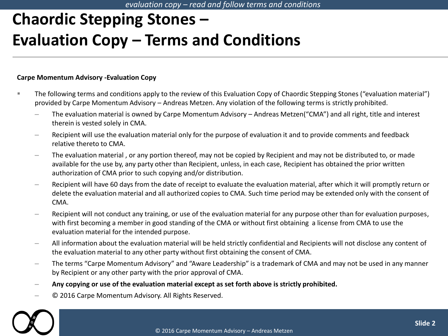# **Chaordic Stepping Stones – Evaluation Copy – Terms and Conditions**

#### **Carpe Momentum Advisory -Evaluation Copy**

- The following terms and conditions apply to the review of this Evaluation Copy of Chaordic Stepping Stones ("evaluation material") provided by Carpe Momentum Advisory – Andreas Metzen. Any violation of the following terms is strictly prohibited.
	- ‒ The evaluation material is owned by Carpe Momentum Advisory Andreas Metzen("CMA") and all right, title and interest therein is vested solely in CMA.
	- ‒ Recipient will use the evaluation material only for the purpose of evaluation it and to provide comments and feedback relative thereto to CMA.
	- ‒ The evaluation material , or any portion thereof, may not be copied by Recipient and may not be distributed to, or made available for the use by, any party other than Recipient, unless, in each case, Recipient has obtained the prior written authorization of CMA prior to such copying and/or distribution.
	- Recipient will have 60 days from the date of receipt to evaluate the evaluation material, after which it will promptly return or delete the evaluation material and all authorized copies to CMA. Such time period may be extended only with the consent of CMA.
	- ‒ Recipient will not conduct any training, or use of the evaluation material for any purpose other than for evaluation purposes, with first becoming a member in good standing of the CMA or without first obtaining a license from CMA to use the evaluation material for the intended purpose.
	- ‒ All information about the evaluation material will be held strictly confidential and Recipients will not disclose any content of the evaluation material to any other party without first obtaining the consent of CMA.
	- ‒ The terms "Carpe Momentum Advisory" and "Aware Leadership" is a trademark of CMA and may not be used in any manner by Recipient or any other party with the prior approval of CMA.
	- ‒ **Any copying or use of the evaluation material except as set forth above is strictly prohibited.**
	- ‒ © 2016 Carpe Momentum Advisory. All Rights Reserved.

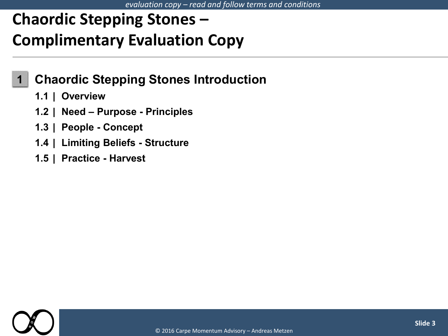#### *evaluation copy – read and follow terms and conditions*

# **Chaordic Stepping Stones – Complimentary Evaluation Copy**

### **1 Chaordic Stepping Stones Introduction**

- **1.1 | Overview**
- **1.2 | Need – Purpose - Principles**
- **1.3 | People - Concept**
- **1.4 | Limiting Beliefs - Structure**
- **1.5 | Practice - Harvest**

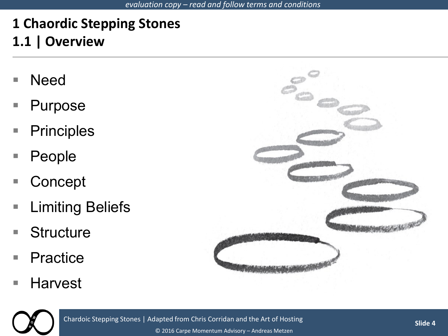### **1 Chaordic Stepping Stones 1.1 | Overview**

- Need
- **Purpose**
- Principles
- People
- Concept
- **Limiting Beliefs**
- Structure
- Practice
- Harvest





Chardoic Stepping Stones | Adapted from Chris Corridan and the Art of Hosting

© 2016 Carpe Momentum Advisory – Andreas Metzen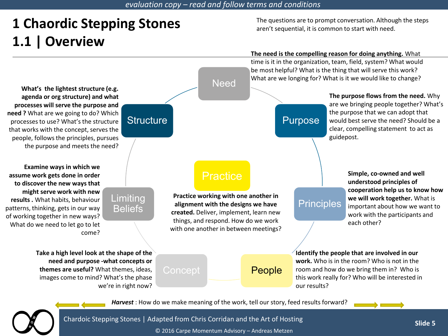#### *evaluation copy – read and follow terms and conditions*

## **1 Chaordic Stepping Stones 1.1 | Overview**

The questions are to prompt conversation. Although the steps aren't sequential, it is common to start with need.

#### **The need is the compelling reason for doing anything.** What

**Need** Purpose **Principles** Concept **People Limiting Beliefs Structure** time is it in the organization, team, field, system? What would be most helpful? What is the thing that will serve this work? What are we longing for? What is it we would like to change? **The purpose flows from the need.** Why are we bringing people together? What's the purpose that we can adopt that would best serve the need? Should be a clear, compelling statement to act as guidepost. **Simple, co-owned and well understood principles of cooperation help us to know how we will work together.** What is important about how we want to work with the participants and each other? **Identify the people that are involved in our work.** Who is in the room? Who is not in the room and how do we bring them in? Who is this work really for? Who will be interested in our results? **Take a high level look at the shape of the need and purpose -what concepts or themes are useful?** What themes, ideas, images come to mind? What's the phase we're in right now? **Examine ways in which we assume work gets done in order to discover the new ways that might serve work with new results .** What habits, behaviour patterns, thinking, gets in our way of working together in new ways? What do we need to let go to let come? **What's the lightest structure (e.g. agenda or org structure) and what processes will serve the purpose and need ?** What are we going to do? Which processes to use? What's the structure that works with the concept, serves the people, follows the principles, pursues the purpose and meets the need? **Practice Practice working with one another in alignment with the designs we have created.** Deliver, implement, learn new things, and respond. How do we work with one another in between meetings?

*Harvest* : How do we make meaning of the work, tell our story, feed results forward?





Chardoic Stepping Stones | Adapted from Chris Corridan and the Art of Hosting

© 2016 Carpe Momentum Advisory – Andreas Metzen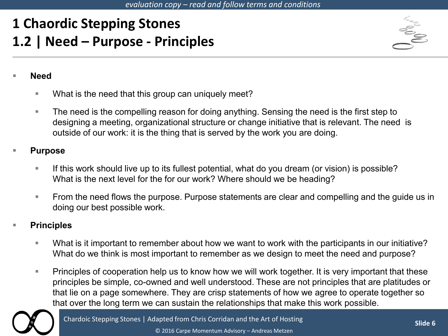## **1 Chaordic Stepping Stones 1.2 | Need – Purpose - Principles**



#### **Need**

- **What is the need that this group can uniquely meet?**
- The need is the compelling reason for doing anything. Sensing the need is the first step to designing a meeting, organizational structure or change initiative that is relevant. The need is outside of our work: it is the thing that is served by the work you are doing.

#### **Purpose**

- If this work should live up to its fullest potential, what do you dream (or vision) is possible? What is the next level for the for our work? Where should we be heading?
- **From the need flows the purpose. Purpose statements are clear and compelling and the quide us in** doing our best possible work.

### **Principles**

- What is it important to remember about how we want to work with the participants in our initiative? What do we think is most important to remember as we design to meet the need and purpose?
- **Principles of cooperation help us to know how we will work together. It is very important that these** principles be simple, co-owned and well understood. These are not principles that are platitudes or that lie on a page somewhere. They are crisp statements of how we agree to operate together so that over the long term we can sustain the relationships that make this work possible.



© 2016 Carpe Momentum Advisory – Andreas Metzen Chardoic Stepping Stones | Adapted from Chris Corridan and the Art of Hosting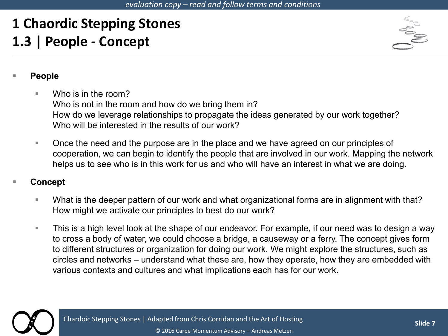# **1 Chaordic Stepping Stones 1.3 | People - Concept**



### **People**

- Who is in the room? Who is not in the room and how do we bring them in? How do we leverage relationships to propagate the ideas generated by our work together? Who will be interested in the results of our work?
- Once the need and the purpose are in the place and we have agreed on our principles of cooperation, we can begin to identify the people that are involved in our work. Mapping the network helps us to see who is in this work for us and who will have an interest in what we are doing.

### **Concept**

- What is the deeper pattern of our work and what organizational forms are in alignment with that? How might we activate our principles to best do our work?
- **This is a high level look at the shape of our endeavor. For example, if our need was to design a way** to cross a body of water, we could choose a bridge, a causeway or a ferry. The concept gives form to different structures or organization for doing our work. We might explore the structures, such as circles and networks – understand what these are, how they operate, how they are embedded with various contexts and cultures and what implications each has for our work.



Chardoic Stepping Stones | Adapted from Chris Corridan and the Art of Hosting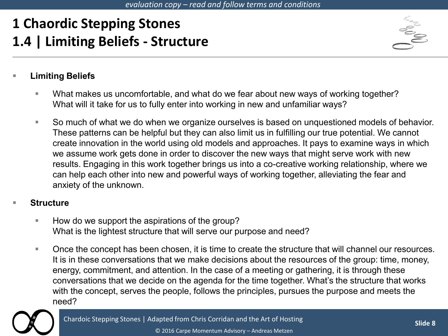## **1 Chaordic Stepping Stones 1.4 | Limiting Beliefs - Structure**



### **Limiting Beliefs**

- What makes us uncomfortable, and what do we fear about new ways of working together? What will it take for us to fully enter into working in new and unfamiliar ways?
- So much of what we do when we organize ourselves is based on unquestioned models of behavior. These patterns can be helpful but they can also limit us in fulfilling our true potential. We cannot create innovation in the world using old models and approaches. It pays to examine ways in which we assume work gets done in order to discover the new ways that might serve work with new results. Engaging in this work together brings us into a co-creative working relationship, where we can help each other into new and powerful ways of working together, alleviating the fear and anxiety of the unknown.

#### **Structure**

- **How do we support the aspirations of the group?** What is the lightest structure that will serve our purpose and need?
- **Deta Concept has been chosen, it is time to create the structure that will channel our resources.** It is in these conversations that we make decisions about the resources of the group: time, money, energy, commitment, and attention. In the case of a meeting or gathering, it is through these conversations that we decide on the agenda for the time together. What's the structure that works with the concept, serves the people, follows the principles, pursues the purpose and meets the need?

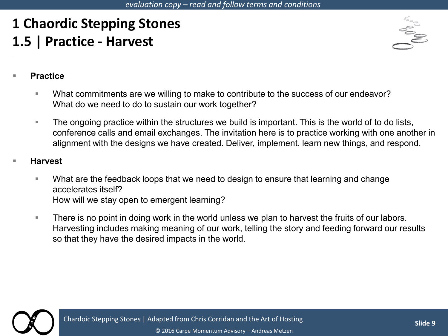# **1 Chaordic Stepping Stones 1.5 | Practice - Harvest**



### **Practice**

- What commitments are we willing to make to contribute to the success of our endeavor? What do we need to do to sustain our work together?
- **The ongoing practice within the structures we build is important. This is the world of to do lists,** conference calls and email exchanges. The invitation here is to practice working with one another in alignment with the designs we have created. Deliver, implement, learn new things, and respond.

### **Harvest**

- What are the feedback loops that we need to design to ensure that learning and change accelerates itself? How will we stay open to emergent learning?
- **There is no point in doing work in the world unless we plan to harvest the fruits of our labors.** Harvesting includes making meaning of our work, telling the story and feeding forward our results so that they have the desired impacts in the world.